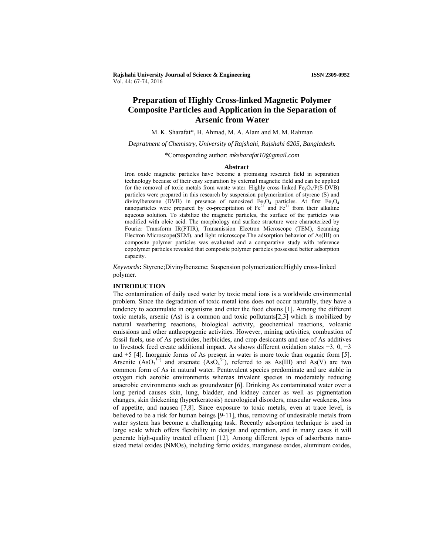**Rajshahi University Journal of Science & Engineering ISSN 2309-0952** Vol. 44: 67-74, 2016

# **Preparation of Highly Cross-linked Magnetic Polymer Composite Particles and Application in the Separation of Arsenic from Water**

M. K. Sharafat\*, H. Ahmad, M. A. Alam and M. M. Rahman

*Depratment of Chemistry, University of Rajshahi, Rajshahi 6205, Bangladesh.* 

\*Corresponding author: *mksharafat10@gmail.com* 

#### **Abstract**

Iron oxide magnetic particles have become a promising research field in separation technology because of their easy separation by external magnetic field and can be applied for the removal of toxic metals from waste water. Highly cross-linked  $Fe<sub>3</sub>O<sub>4</sub>/P(S-DVB)$ particles were prepared in this research by suspension polymerization of styrene (S) and divinylbenzene (DVB) in presence of nanosized  $Fe<sub>3</sub>O<sub>4</sub>$  particles. At first  $Fe<sub>3</sub>O<sub>4</sub>$ nanoparticles were prepared by co-precipitation of  $Fe^{2+}$  and  $Fe^{3+}$  from their alkaline aqueous solution. To stabilize the magnetic particles, the surface of the particles was modified with oleic acid. The morphology and surface structure were characterized by Fourier Transform IR(FTIR), Transmission Electron Microscope (TEM), Scanning Electron Microscope(SEM), and light microscope.The adsorption behavior of As(III) on composite polymer particles was evaluated and a comparative study with reference copolymer particles revealed that composite polymer particles possessed better adsorption capacity.

*Keywords***:** Styrene;Divinylbenzene; Suspension polymerization;Highly cross-linked polymer.

## **INTRODUCTION**

The contamination of daily used water by toxic metal ions is a worldwide environmental problem. Since the degradation of toxic metal ions does not occur naturally, they have a tendency to accumulate in organisms and enter the food chains [1]. Among the different toxic metals, arsenic (As) is a common and toxic pollutants[2,3] which is mobilized by natural weathering reactions, biological activity, geochemical reactions, volcanic emissions and other anthropogenic activities. However, mining activities, combustion of fossil fuels, use of As pesticides, herbicides, and crop desiccants and use of As additives to livestock feed create additional impact. As shows different oxidation states −3, 0, +3 and +5 [4]. Inorganic forms of As present in water is more toxic than organic form [5]. Arsenite  $(AsO<sub>3</sub><sup>3−</sup>)$  and arsenate  $(AsO<sub>4</sub><sup>3−</sup>)$ , referred to as As(III) and As(V) are two common form of As in natural water. Pentavalent species predominate and are stable in oxygen rich aerobic environments whereas trivalent species in moderately reducing anaerobic environments such as groundwater [6]. Drinking As contaminated water over a long period causes skin, lung, bladder, and kidney cancer as well as pigmentation changes, skin thickening (hyperkeratosis) neurological disorders, muscular weakness, loss of appetite, and nausea [7,8]. Since exposure to toxic metals, even at trace level, is believed to be a risk for human beings [9-11], thus, removing of undesirable metals from water system has become a challenging task. Recently adsorption technique is used in large scale which offers flexibility in design and operation, and in many cases it will generate high-quality treated effluent [12]. Among different types of adsorbents nanosized metal oxides (NMOs), including ferric oxides, manganese oxides, aluminum oxides,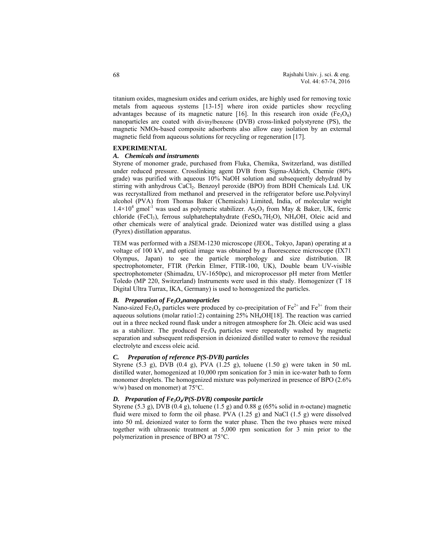titanium oxides, magnesium oxides and cerium oxides, are highly used for removing toxic metals from aqueous systems [13-15] where iron oxide particles show recycling advantages because of its magnetic nature [16]. In this research iron oxide (Fe<sub>3</sub>O<sub>4</sub>) nanoparticles are coated with divinylbenzene (DVB) cross-linked polystyrene (PS), the magnetic NMOs-based composite adsorbents also allow easy isolation by an external magnetic field from aqueous solutions for recycling or regeneration [17].

## **EXPERIMENTAL**

# *A. Chemicals and instruments*

Styrene of monomer grade, purchased from Fluka, Chemika, Switzerland, was distilled under reduced pressure. Crosslinking agent DVB from Sigma-Aldrich, Chemie (80% grade) was purified with aqueous 10% NaOH solution and subsequently dehydratd by stirring with anhydrous CaCl<sub>2</sub>. Benzoyl peroxide (BPO) from BDH Chemicals Ltd. UK was recrystallized from methanol and preserved in the refrigerator before use.Polyvinyl alcohol (PVA) from Thomas Baker (Chemicals) Limited, India, of molecular weight  $1.4 \times 10^4$  gmol<sup>-1</sup> was used as polymeric stabilizer. As<sub>2</sub>O<sub>3</sub> from May & Baker, UK, ferric chloride (FeCl<sub>3</sub>), ferrous sulphateheptahydrate (FeSO<sub>4.</sub>7H<sub>2</sub>O), NH<sub>4</sub>OH, Oleic acid and other chemicals were of analytical grade. Deionized water was distilled using a glass (Pyrex) distillation apparatus.

TEM was performed with a JSEM-1230 microscope (JEOL, Tokyo, Japan) operating at a voltage of 100 kV, and optical image was obtained by a fluorescence microscope (IX71 Olympus, Japan) to see the particle morphology and size distribution. IR spectrophotometer, FTIR (Perkin Elmer, FTIR-100, UK), Double beam UV-visible spectrophotometer (Shimadzu, UV-1650pc), and microprocessor pH meter from Mettler Toledo (MP 220, Switzerland) Instruments were used in this study. Homogenizer (T 18 Digital Ultra Turrax, IKA, Germany) is used to homogenized the particles.

# *B. Preparation of Fe3O4nanoparticles*

Nano-sized Fe<sub>3</sub>O<sub>4</sub> particles were produced by co-precipitation of Fe<sup>2+</sup> and Fe<sup>3+</sup> from their aqueous solutions (molar ratio1:2) containing 25% NH4OH[18]. The reaction was carried out in a three necked round flask under a nitrogen atmosphere for 2h. Oleic acid was used as a stabilizer. The produced  $Fe<sub>3</sub>O<sub>4</sub>$  particles were repeatedly washed by magnetic separation and subsequent redispersion in deionized distilled water to remove the residual electrolyte and excess oleic acid.

# *C. Preparation of reference P(S-DVB) particles*

Styrene (5.3 g), DVB (0.4 g), PVA (1.25 g), toluene (1.50 g) were taken in 50 mL distilled water, homogenized at 10,000 rpm sonication for 3 min in ice-water bath to form monomer droplets. The homogenized mixture was polymerized in presence of BPO (2.6%) w/w) based on monomer) at 75°C.

## *D. Preparation of Fe3O4/P(S-DVB) composite particle*

Styrene (5.3 g), DVB (0.4 g), toluene (1.5 g) and 0.88 g (65% solid in *n-*octane) magnetic fluid were mixed to form the oil phase. PVA  $(1.25 \text{ g})$  and NaCl  $(1.5 \text{ g})$  were dissolved into 50 mL deionized water to form the water phase. Then the two phases were mixed together with ultrasonic treatment at 5,000 rpm sonication for 3 min prior to the polymerization in presence of BPO at 75°C.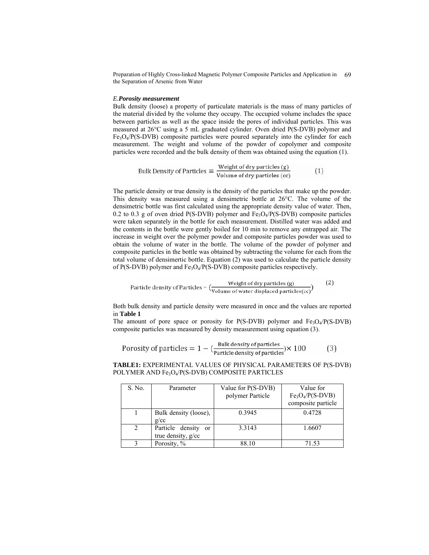Preparation of Highly Cross-linked Magnetic Polymer Composite Particles and Application in 69 the Separation of Arsenic from Water

#### *E.Porosity measurement*

Bulk density (loose) a property of particulate materials is the mass of many particles of the material divided by the volume they occupy. The occupied volume includes the space between particles as well as the space inside the pores of individual particles. This was measured at 26°C using a 5 mL graduated cylinder. Oven dried P(S-DVB) polymer and  $Fe<sub>3</sub>O<sub>4</sub>/P(S-DVB)$  composite particles were poured separately into the cylinder for each measurement. The weight and volume of the powder of copolymer and composite particles were recorded and the bulk density of them was obtained using the equation (1).

Bulk Density of Particles = 
$$
\frac{\text{Weight of dry particles (g)}}{\text{Volume of dry particles (cc)}} \tag{1}
$$

The particle density or true density is the density of the particles that make up the powder. This density was measured using a densimetric bottle at 26°C. The volume of the densimetric bottle was first calculated using the appropriate density value of water. Then, 0.2 to 0.3 g of oven dried  $P(S-DVB)$  polymer and  $Fe<sub>3</sub>O<sub>4</sub>/P(S-DVB)$  composite particles were taken separately in the bottle for each measurement. Distilled water was added and the contents in the bottle were gently boiled for 10 min to remove any entrapped air. The increase in weight over the polymer powder and composite particles powder was used to obtain the volume of water in the bottle. The volume of the powder of polymer and composite particles in the bottle was obtained by subtracting the volume for each from the total volume of densimertic bottle. Equation (2) was used to calculate the particle density of P(S-DVB) polymer and Fe<sub>3</sub>O<sub>4</sub>/P(S-DVB) composite particles respectively.

$$
Particle density of Particles = \left(\frac{Weight of dry particles (g)}{Volume of water displaced particles (cc)}\right)
$$
 (2)

Both bulk density and particle density were measured in once and the values are reported in **Table 1**

The amount of pore space or porosity for P(S-DVB) polymer and  $Fe_3O_4/P(S-DVB)$ composite particles was measured by density measurement using equation (3).

$$
Porosity of particles = 1 - (\frac{Bulk density of particles}{Particle density of particles}) \times 100
$$
 (3)

**TABLE1:** EXPERIMENTAL VALUES OF PHYSICAL PARAMETERS OF P(S-DVB) POLYMER AND Fe<sub>3</sub>O<sub>4</sub>/P(S-DVB) COMPOSITE PARTICLES

| S. No.  | Parameter                         | Value for P(S-DVB) | Value for                              |
|---------|-----------------------------------|--------------------|----------------------------------------|
|         |                                   | polymer Particle   | $Fe3O4/P(S-DVB)$<br>composite particle |
|         |                                   |                    |                                        |
|         | Bulk density (loose),             | 0.3945             | 0.4728                                 |
|         | g/cc                              |                    |                                        |
| $2^{1}$ | Particle density<br><sub>or</sub> | 3.3143             | 1.6607                                 |
|         | true density, g/cc                |                    |                                        |
|         | Porosity, %                       | 88.10              | 71.53                                  |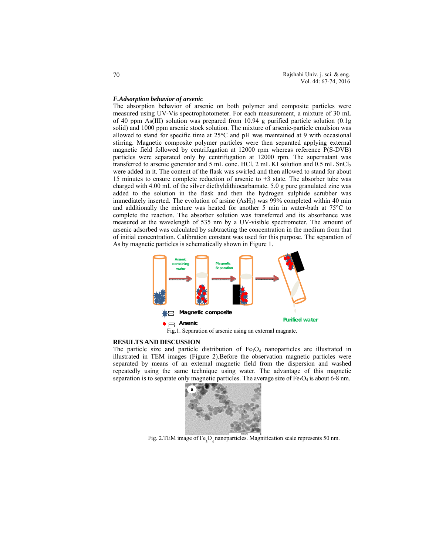#### *F.Adsorption behavior of arsenic*

The absorption behavior of arsenic on both polymer and composite particles were measured using UV-Vis spectrophotometer. For each measurement, a mixture of 30 mL of 40 ppm As(III) solution was prepared from 10.94 g purified particle solution (0.1g solid) and 1000 ppm arsenic stock solution. The mixture of arsenic-particle emulsion was allowed to stand for specific time at 25°C and pH was maintained at 9 with occasional stirring. Magnetic composite polymer particles were then separated applying external magnetic field followed by centrifugation at 12000 rpm whereas reference P(S-DVB) particles were separated only by centrifugation at 12000 rpm. The supernatant was transferred to arsenic generator and 5 mL conc. HCl, 2 mL KI solution and  $0.5$  mL SnCl<sub>2</sub> were added in it. The content of the flask was swirled and then allowed to stand for about 15 minutes to ensure complete reduction of arsenic to +3 state. The absorber tube was charged with 4.00 mL of the silver diethyldithiocarbamate. 5.0 g pure granulated zinc was added to the solution in the flask and then the hydrogen sulphide scrubber was immediately inserted. The evolution of arsine (AsH<sub>3</sub>) was 99% completed within 40 min and additionally the mixture was heated for another 5 min in water-bath at 75°C to complete the reaction. The absorber solution was transferred and its absorbance was measured at the wavelength of 535 nm by a UV-visible spectrometer. The amount of arsenic adsorbed was calculated by subtracting the concentration in the medium from that of initial concentration. Calibration constant was used for this purpose. The separation of As by magnetic particles is schematically shown in Figure 1.



Fig.1. Separation of arsenic using an external magnate.

#### **RESULTS AND DISCUSSION**

The particle size and particle distribution of  $Fe<sub>3</sub>O<sub>4</sub>$  nanoparticles are illustrated in illustrated in TEM images (Figure 2).Before the observation magnetic particles were separated by means of an external magnetic field from the dispersion and washed repeatedly using the same technique using water. The advantage of this magnetic separation is to separate only magnetic particles. The average size of  $Fe<sub>3</sub>O<sub>4</sub>$  is about 6-8 nm.



Fig. 2.TEM image of  $Fe<sub>3</sub>O<sub>4</sub>$  nanoparticles. Magnification scale represents 50 nm.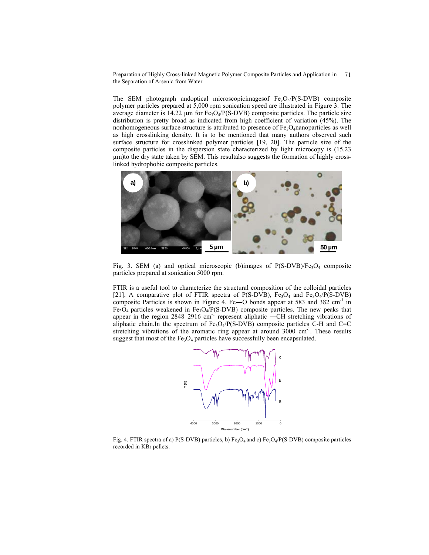Preparation of Highly Cross-linked Magnetic Polymer Composite Particles and Application in the Separation of Arsenic from Water 71

The SEM photograph andoptical microscopicimagesof  $Fe<sub>3</sub>O<sub>4</sub>/P(S-DVB)$  composite polymer particles prepared at 5,000 rpm sonication speed are illustrated in Figure 3. The average diameter is  $14.22 \mu m$  for Fe<sub>3</sub>O<sub>4</sub>/P(S-DVB) composite particles. The particle size distribution is pretty broad as indicated from high coefficient of variation (45%). The nonhomogeneous surface structure is attributed to presence of  $Fe<sub>3</sub>O<sub>4</sub>$ nanoparticles as well as high crosslinking density. It is to be mentioned that many authors observed such surface structure for crosslinked polymer particles [19, 20]. The particle size of the composite particles in the dispersion state characterized by light microcopy is (15.23 µm)to the dry state taken by SEM. This resultalso suggests the formation of highly crosslinked hydrophobic composite particles.



Fig. 3. SEM (a) and optical microscopic (b)images of  $P(S-DVB)/Fe<sub>3</sub>O<sub>4</sub>$  composite particles prepared at sonication 5000 rpm.

FTIR is a useful tool to characterize the structural composition of the colloidal particles [21]. A comparative plot of FTIR spectra of P(S-DVB),  $Fe<sub>3</sub>O<sub>4</sub>$  and  $Fe<sub>3</sub>O<sub>4</sub>/P(S-DVB)$ composite Particles is shown in Figure 4. Fe—O bonds appear at 583 and 382  $cm^{-1}$  in  $Fe<sub>3</sub>O<sub>4</sub>$  particles weakened in Fe<sub>3</sub>O<sub>4</sub>/P(S-DVB) composite particles. The new peaks that appear in the region  $2848-2916$  cm<sup>-1</sup> represent aliphatic —CH stretching vibrations of aliphatic chain.In the spectrum of  $Fe<sub>3</sub>O<sub>4</sub>/P(S-DVB)$  composite particles C-H and C=C stretching vibrations of the aromatic ring appear at around  $3000 \text{ cm}^{-1}$ . These results suggest that most of the  $Fe<sub>3</sub>O<sub>4</sub>$  particles have successfully been encapsulated.



Fig. 4. FTIR spectra of a) P(S-DVB) particles, b)  $Fe<sub>3</sub>O<sub>4</sub>$  and c)  $Fe<sub>3</sub>O<sub>4</sub>/P(S-DVB)$  composite particles recorded in KBr pellets.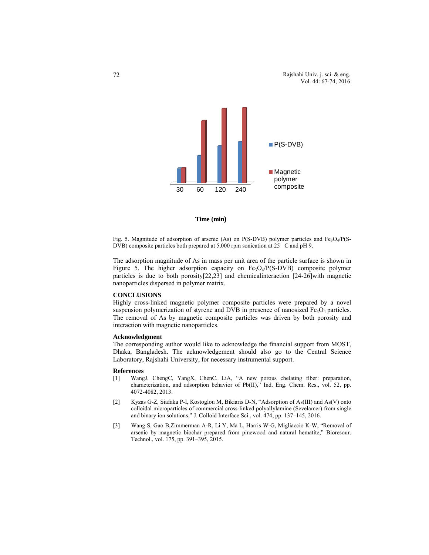



Fig. 5. Magnitude of adsorption of arsenic (As) on P(S-DVB) polymer particles and  $Fe_3O_4/P(S-$ DVB) composite particles both prepared at  $5,000$  rpm sonication at  $25$  C and pH 9.

The adsorption magnitude of As in mass per unit area of the particle surface is shown in Figure 5. The higher adsorption capacity on  $Fe<sub>3</sub>O<sub>4</sub>/P(S-DVB)$  composite polymer particles is due to both porosity[22,23] and chemicalinteraction [24-26]with magnetic nanoparticles dispersed in polymer matrix.

## **CONCLUSIONS**

Highly cross-linked magnetic polymer composite particles were prepared by a novel suspension polymerization of styrene and DVB in presence of nanosized  $Fe<sub>3</sub>O<sub>4</sub>$  particles. The removal of As by magnetic composite particles was driven by both porosity and interaction with magnetic nanoparticles.

# **Acknowledgment**

The corresponding author would like to acknowledge the financial support from MOST, Dhaka, Bangladesh. The acknowledgement should also go to the Central Science Laboratory, Rajshahi University, for necessary instrumental support.

#### **References**

- [1] WangJ, ChengC, YangX, ChenC, LiA, "A new porous chelating fiber: preparation, characterization, and adsorption behavior of Pb(II)," Ind. Eng. Chem. Res., vol. 52, pp. 4072-4082, 2013.
- [2] Kyzas G-Z, Siafaka P-I, Kostoglou M, Bikiaris D-N, "Adsorption of As(III) and As(V) onto colloidal microparticles of commercial cross-linked polyallylamine (Sevelamer) from single and binary ion solutions," J. Colloid Interface Sci., vol. 474, pp. 137–145, 2016.
- [3] Wang S, Gao B,Zimmerman A-R, Li Y, Ma L, Harris W-G, Migliaccio K-W, "Removal of arsenic by magnetic biochar prepared from pinewood and natural hematite," Bioresour. Technol., vol. 175, pp. 391–395, 2015.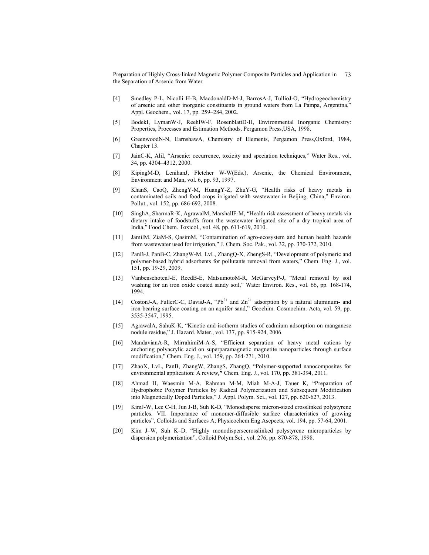Preparation of Highly Cross-linked Magnetic Polymer Composite Particles and Application in the Separation of Arsenic from Water 73

- [4] Smedley P-L, Nicolli H-B, MacdonaldD-M-J, BarrosA-J, TullioJ-O, "Hydrogeochemistry of arsenic and other inorganic constituents in ground waters from La Pampa, Argentina," Appl. Geochem., vol. 17, pp. 259–284, 2002.
- [5] BodekI, LymanW-J, ReehlW-F, RosenblattD-H, Environmental Inorganic Chemistry: Properties, Processes and Estimation Methods*,* Pergamon Press,USA, 1998.
- [6] GreenwoodN-N, EarnshawA, Chemistry of Elements*,* Pergamon Press,Oxford, 1984, Chapter 13.
- [7] JainC-K, AliI, "Arsenic: occurrence, toxicity and speciation techniques," Water Res., vol. 34, pp. 4304–4312, 2000.
- [8] KipingM-D, LenihanJ, Fletcher W-W(Eds.), Arsenic, the Chemical Environment, Environment and Man, vol. 6, pp. 93, 1997.
- [9] KhanS, CaoQ, ZhengY-M, HuangY-Z, ZhuY-G, "Health risks of heavy metals in contaminated soils and food crops irrigated with wastewater in Beijing, China," Environ. Pollut., vol. 152, pp. 686-692, 2008.
- [10] SinghA, SharmaR-K, AgrawalM, MarshallF-M, "Health risk assessment of heavy metals via dietary intake of foodstuffs from the wastewater irrigated site of a dry tropical area of India," Food Chem. Toxicol., vol. 48, pp. 611-619, 2010.
- [11] JamilM, ZiaM-S, QasimM, "Contamination of agro-ecosystem and human health hazards from wastewater used for irrigation," J. Chem. Soc. Pak., vol. 32, pp. 370-372, 2010.
- [12] PanB-J, PanB-C, ZhangW-M, LvL, ZhangQ-X, ZhengS-R, "Development of polymeric and polymer-based hybrid adsorbents for pollutants removal from waters," Chem. Eng. J., vol. 151, pp. 19-29, 2009.
- [13] VanbenschotenJ-E, ReedB-E, MatsumotoM-R, McGarveyP-J, "Metal removal by soil washing for an iron oxide coated sandy soil," Water Environ. Res., vol. 66, pp. 168-174, 1994.
- [14] CostonJ-A, FullerC-C, DavisJ-A, "Pb<sup>2+</sup> and  $\text{Zn}^{2+}$  adsorption by a natural aluminum- and iron-bearing surface coating on an aquifer sand," Geochim. Cosmochim. Acta, vol. 59, pp. 3535-3547, 1995.
- [15] AgrawalA, SahuK-K, "Kinetic and isotherm studies of cadmium adsorption on manganese nodule residue," J. Hazard. Mater., vol. 137, pp. 915-924, 2006.
- [16] MandavianA-R, MirrahimiM-A-S, "Efficient separation of heavy metal cations by anchoring polyacrylic acid on superparamagnetic magnetite nanoparticles through surface modification," Chem. Eng. J., vol. 159, pp. 264-271, 2010.
- [17] ZhaoX, LvL, PanB, ZhangW, ZhangS, ZhangQ, "Polymer-supported nanocomposites for environmental application: A review**,"** Chem. Eng. J., vol. 170, pp. 381-394*,* 2011.
- [18] Ahmad H, Waesmin M-A, Rahman M-M, Miah M-A-J, Tauer K*,* "Preparation of Hydrophobic Polymer Particles by Radical Polymerization and Subsequent Modification into Magnetically Doped Particles," J. Appl. Polym. Sci., vol. 127, pp. 620-627, 2013.
- [19] KimJ-W, Lee C-H, Jun J-B, Suh K-D, "Monodisperse micron-sized crosslinked polystyrene particles. VII. Importance of monomer-diffusible surface characteristics of growing particles", Colloids and Surfaces A; Physicochem.Eng.Ascpects, vol. 194, pp. 57-64, 2001.
- [20] Kim J–W, Suh K–D, "Highly monodispersecrosslinked polystyrene microparticles by dispersion polymerization", Colloid Polym.Sci., vol. 276, pp. 870-878, 1998.